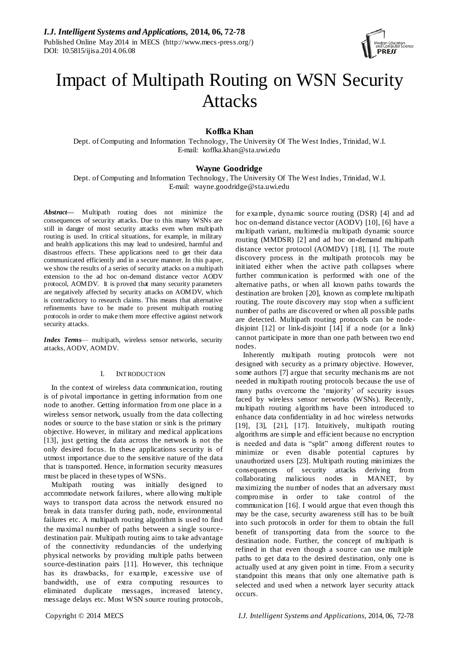

# Impact of Multipath Routing on WSN Security Attacks

**Koffka Khan**

Dept. of Computing and Information Technology, The University Of The West Indies, Trinidad, W.I. E-mail: koffka.khan@sta.uwi.edu

## **Wayne Goodridge**

Dept. of Computing and Information Technology, The University Of The West Indies, Trinidad, W.I. E-mail: wayne.goodridge@sta.uwi.edu

*Abstract***—** Multipath routing does not minimize the consequences of security attacks. Due to this many WSNs are still in danger of most security attacks even when multipath routing is used. In critical situations, for example, in military and health applications this may lead to undesired, harmful and disastrous effects. These applications need to get their data communicated efficiently and in a secure manner. In this p aper, we show the results of a series of security attacks on a multipath extension to the ad hoc on-demand distance vector AODV protocol, AOMDV. It is proved that many security parameters are negatively affected by security attacks on AOMDV, which is contradictory to research claims. This means that alternative refinements have to be made to present multipath routing protocols in order to make them more effective against network security attacks.

*Index Terms*— multipath, wireless sensor networks, security attacks, AODV, AOMDV.

## I. INTRODUCTION

In the context of wireless data communication, routing is of pivotal importance in getting information from one node to another. Getting information from one place in a wireless sensor network, usually from the data collecting nodes or source to the base station or sink is the primary objective. However, in military and medical applications [\[13\],](#page-5-0) just getting the data across the network is not the only desired focus. In these applications security is of utmost importance due to the sensitive nature of the data that is transported. Hence, information security measures must be placed in these types of WSNs.

Multipath routing was initially designed to accommodate network failures, where allowing multiple ways to transport data across the network ensured no break in data transfer during path, node, environmental failures etc. A multipath routing algorithm is used to find the maximal number of paths between a single sourcedestination pair. Multipath routing aims to take advantage of the connectivity redundancies of the underlying physical networks by providing multiple paths between source-destination pairs [\[11\].](#page-5-1) However, this technique has its drawbacks, for example, excessive use of bandwidth, use of extra computing resources to eliminated duplicate messages, increased latency, message delays etc. Most WSN source routing protocols, for example, dynamic source routing (DSR) [\[4\]](#page-5-2) and ad hoc on-demand distance vector (AODV) [\[10\],](#page-5-3) [\[6\]](#page-5-4) have a multipath variant, multimedia multipath dynamic source routing (MMDSR) [\[2\]](#page-5-5) and ad hoc on-demand multipath distance vector protocol (AOMDV) [\[18\],](#page-5-6) [1]. The route discovery process in the multipath protocols may be initiated either when the active path collapses where further communication is performed with one of the alternative paths, or when all known paths towards the destination are broken [\[20\],](#page-5-7) known as complete multipath routing. The route discovery may stop when a sufficient number of paths are discovered or when all possible paths are detected. Multipath routing protocols can be nodedisjoint [\[12\]](#page-5-8) or link-disjoint [\[14\]](#page-5-9) if a node (or a link) cannot participate in more than one path between two end nodes.

Inherently multipath routing protocols were not designed with security as a primary objective. However, some authors [\[7\]](#page-5-10) argue that security mechanis ms are not needed in multipath routing protocols because the use of many paths overcome the 'majority' of security issues faced by wireless sensor networks (WSNs). Recently, multipath routing algorithms have been introduced to enhance data confidentiality in ad hoc wireless networks [\[19\],](#page-5-11) [\[3\],](#page-5-12) [\[21\],](#page-5-13) [\[17\].](#page-5-14) Intuitively, multipath routing algorithms are simple and efficient because no encryption is needed and data is "split" among different routes to minimize or even disable potential captures by unauthorized users [\[23\].](#page-6-0) Multipath routing minimizes the consequences of security attacks deriving from collaborating malicious nodes in MANET, by maximizing the number of nodes that an adversary must compromise in order to take control of the communication [\[16\].](#page-5-15) I would argue that even though this may be the case, security awareness still has to be built into such protocols in order for them to obtain the full benefit of transporting data from the source to the destination node. Further, the concept of multipath is refined in that even though a source can use multiple paths to get data to the desired destination, only one is actually used at any given point in time. From a security standpoint this means that only one alternative path is selected and used when a network layer security attack occurs.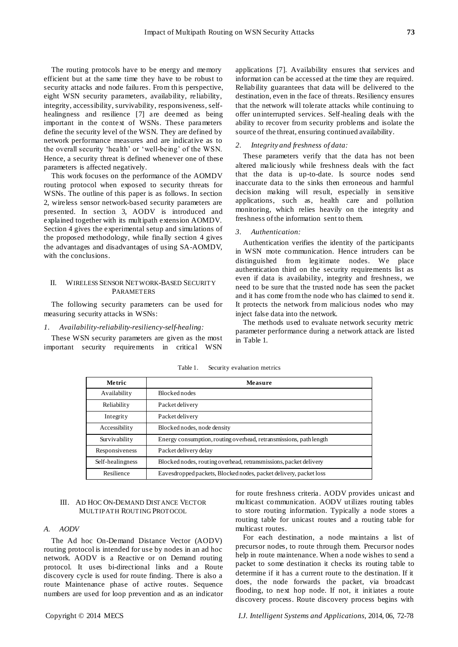The routing protocols have to be energy and memory efficient but at the same time they have to be robust to security attacks and node failures. From this perspective, eight WSN security parameters, availability, reliability, integrity, accessibility, survivability, responsiveness, selfhealingness and resilience [\[7\]](#page-5-10) are deemed as being important in the context of WSNs. These parameters define the security level of the WSN. They are defined by network performance measures and are indicative as to the overall security 'health' or 'well-being' of the WSN. Hence, a security threat is defined whenever one of these parameters is affected negatively.

This work focuses on the performance of the AOMDV routing protocol when exposed to security threats for WSNs. The outline of this paper is as follows. In section 2, wireless sensor network-based security parameters are presented. In section 3, AODV is introduced and explained together with its multipath extension AOMDV. Section 4 gives the experimental setup and simulations of the proposed methodology, while finally section 4 gives the advantages and disadvantages of using SA-AOMDV, with the conclusions.

## II. WIRELESS SENSOR NETWORK-BASED SECURITY PARAMETERS

The following security parameters can be used for measuring security attacks in WSNs:

## *1. Availability-reliability-resiliency-self-healing:*

These WSN security parameters are given as the most important security requirements in critical WSN

applications [\[7\].](#page-5-10) Availability ensures that services and information can be accessed at the time they are required. Reliability guarantees that data will be delivered to the destination, even in the face of threats. Resiliency ensures that the network will tolerate attacks while continuing to offer uninterrupted services. Self-healing deals with the ability to recover from security problems and isolate the source of the threat, ensuring continued availability.

## *2. Integrity and freshness of data:*

These parameters verify that the data has not been altered maliciously while freshness deals with the fact that the data is up-to-date. Is source nodes send inaccurate data to the sinks then erroneous and harmful decision making will result, especially in sensitive applications, such as, health care and pollution monitoring, which relies heavily on the integrity and freshness of the information sent to them.

#### *3. Authentication:*

Authentication verifies the identity of the participants in WSN mote communication. Hence intruders can be distinguished from legitimate nodes. We place authentication third on the security requirements list as even if data is availability, integrity and freshness, we need to be sure that the trusted node has seen the packet and it has come from the node who has claimed to send it. It protects the network from malicious nodes who may inject false data into the network.

The methods used to evaluate network security metric parameter performance during a network attack are listed in Table 1.

| Metric           | Measure                                                            |
|------------------|--------------------------------------------------------------------|
| Availability     | <b>Blocked nodes</b>                                               |
| Reliability      | Packet delivery                                                    |
| Integrity        | Packet delivery                                                    |
| Accessibility    | Blocked nodes, node density                                        |
| Survivability    | Energy consumption, routing overhead, retransmissions, path length |
| Responsiveness   | Packet delivery delay                                              |
| Self-healingness | Blocked nodes, routing overhead, retransmissions, packet delivery  |
| Resilience       | Eavesdropped packets, Blocked nodes, packet delivery, packet loss  |

Table 1. Security evaluation metrics

## III. AD HOC ON-DEMAND DISTANCE VECTOR MULTIPATH ROUTING PROTOCOL

## *A. AODV*

The Ad hoc On-Demand Distance Vector (AODV) routing protocol is intended for use by nodes in an ad hoc network. AODV is a Reactive or on Demand routing protocol. It uses bi-directional links and a Route discovery cycle is used for route finding. There is also a route Maintenance phase of active routes. Sequence numbers are used for loop prevention and as an indicator for route freshness criteria. AODV provides unicast and multicast communication. AODV utilizes routing tables to store routing information. Typically a node stores a routing table for unicast routes and a routing table for multicast routes.

For each destination, a node maintains a list of precursor nodes, to route through them. Precursor nodes help in route maintenance. When a node wishes to send a packet to some destination it checks its routing table to determine if it has a current route to the destination. If it does, the node forwards the packet, via broadcast flooding, to next hop node. If not, it initiates a route discovery process. Route discovery process begins with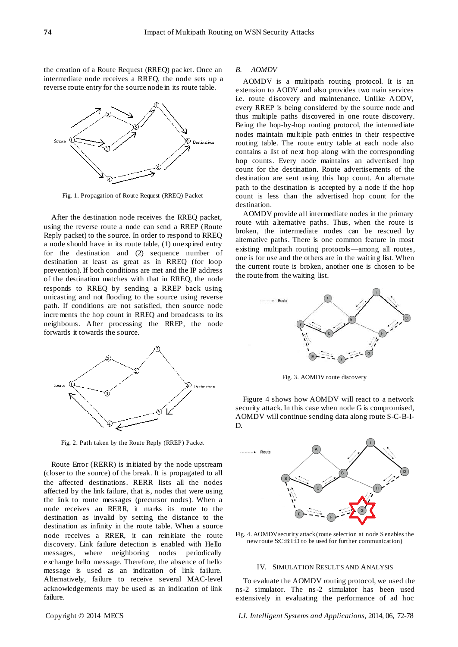the creation of a Route Request (RREQ) packet. Once an intermediate node receives a RREQ, the node sets up a reverse route entry for the source node in its route table.



Fig. 1. Propagation of Route Request (RREQ) Packet

After the destination node receives the RREQ packet, using the reverse route a node can send a RREP (Route Reply packet) to the source. In order to respond to RREQ a node should have in its route table, (1) unexpired entry for the destination and (2) sequence number of destination at least as great as in RREQ (for loop prevention). If both conditions are met and the IP address of the destination matches with that in RREQ, the node responds to RREQ by sending a RREP back using unicasting and not flooding to the source using reverse path. If conditions are not satisfied, then source node increments the hop count in RREQ and broadcasts to its neighbours. After processing the RREP, the node forwards it towards the source.



Fig. 2. Path taken by the Route Reply (RREP) Packet

Route Error (RERR) is initiated by the node upstream (closer to the source) of the break. It is propagated to all the affected destinations. RERR lists all the nodes affected by the link failure, that is, nodes that were using the link to route messages (precursor nodes). When a node receives an RERR, it marks its route to the destination as invalid by setting the distance to the destination as infinity in the route table. When a source node receives a RRER, it can reinitiate the route discovery. Link failure detection is enabled with Hello messages, where neighboring nodes periodically exchange hello message. Therefore, the absence of hello message is used as an indication of link failure. Alternatively, failure to receive several MAC-level acknowledgements may be used as an indication of link failure.

#### *B. AOMDV*

AOMDV is a multipath routing protocol. It is an extension to AODV and also provides two main services i.e. route discovery and maintenance. Unlike AODV, every RREP is being considered by the source node and thus multiple paths discovered in one route discovery. Being the hop-by-hop routing protocol, the intermediate nodes maintain multiple path entries in their respective routing table. The route entry table at each node also contains a list of next hop along with the corresponding hop counts. Every node maintains an advertised hop count for the destination. Route advertisements of the destination are sent using this hop count. An alternate path to the destination is accepted by a node if the hop count is less than the advertised hop count for the destination.

AOMDV provide all intermediate nodes in the primary route with alternative paths. Thus, when the route is broken, the intermediate nodes can be rescued by alternative paths. There is one common feature in most existing multipath routing protocols—among all routes, one is for use and the others are in the waiting list. When the current route is broken, another one is chosen to be the route from the waiting list.



Fig. 3. AOMDV route discovery

Figure 4 shows how AOMDV will react to a network security attack. In this case when node G is compromised, AOMDV will continue sending data along route S-C-B-I-D.



Fig. 4. AOMDV security attack (route selection at node S enables the new route S:C:B:I:D to be used for further communication)

#### IV. SIMULATION RESULTS AND ANALYSIS

To evaluate the AOMDV routing protocol, we used the ns-2 simulator. The ns-2 simulator has been used extensively in evaluating the performance of ad hoc

Copyright © 2014 MECS *I.J. Intelligent Systems and Applications,* 2014, 06, 72-78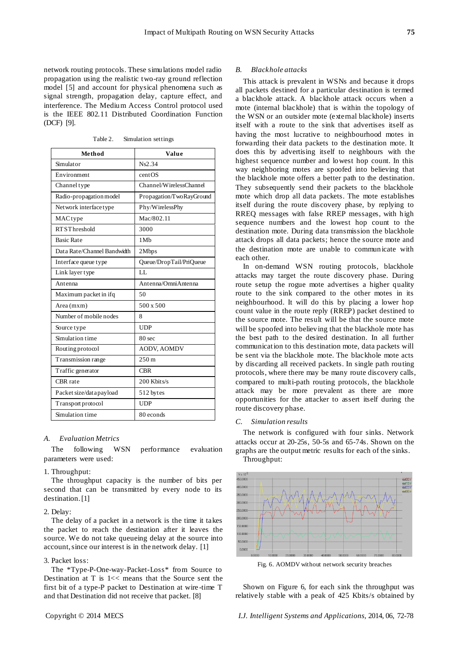network routing protocols. These simulations model radio propagation using the realistic two-ray ground reflection model [\[5\]](#page-5-16) and account for physical phenomena such as signal strength, propagation delay, capture effect, and interference. The Medium Access Control protocol used is the IEEE 802.11 Distributed Coordination Function (DCF) [\[9\].](#page-5-17)

Table 2. Simulation settings

| Method                      | Value                    |
|-----------------------------|--------------------------|
| Simulator                   | Ns2.34                   |
| Environment                 | centOS                   |
| Channel type                | Channel/WirelessChannel  |
| Radio-propagation model     | Propagation/TwoRayGround |
| Network interface type      | Phy/WirelessPhy          |
| MACtype                     | Mac/802.11               |
| <b>RTSThreshold</b>         | 3000                     |
| <b>Basic Rate</b>           | 1M <sub>b</sub>          |
| Data Rate/Channel Bandwidth | 2Mbps                    |
| Interface queue type        | Queue/DropTail/PriQueue  |
| Link layer type             | LL                       |
| Antenna                     | Antenna/OmniAntenna      |
| Maximum packet in ifq       | 50                       |
| Area (mxm)                  | 500 x 500                |
| Number of mobile nodes      | 8                        |
| Source type                 | <b>UDP</b>               |
| Simulation time             | 80 <sub>sec</sub>        |
| Routing protocol            | <b>AODV, AOMDV</b>       |
| Transmission range          | $250 \,\mathrm{m}$       |
| Traffic generator           | <b>CBR</b>               |
| CBR rate                    | 200 Kbits/s              |
| Packet size/data payload    | 512 bytes                |
| Transport protocol          | <b>UDP</b>               |
| Simulation time             | 80 econds                |

#### *A. Evaluation Metrics*

The following WSN performance evaluation parameters were used:

## 1. Throughput:

The throughput capacity is the number of bits per second that can be transmitted by every node to its destination[. \[1\]](#page-5-18)

## 2. Delay:

The delay of a packet in a network is the time it takes the packet to reach the destination after it leaves the source. We do not take queueing delay at the source into account, since our interest is in the network delay[. \[1\]](#page-5-18)

#### 3. Packet loss:

The \*Type-P-One-way-Packet-Loss\* from Source to Destination at T is 1<< means that the Source sent the first bit of a type-P packet to Destination at wire -time T and that Destination did not receive that packet[. \[8\]](#page-5-19)

#### *B. Blackhole attacks*

This attack is prevalent in WSNs and because it drops all packets destined for a particular destination is termed a blackhole attack. A blackhole attack occurs when a mote (internal blackhole) that is within the topology of the WSN or an outsider mote (external blackhole) inserts itself with a route to the sink that advertises itself as having the most lucrative to neighbourhood motes in forwarding their data packets to the destination mote. It does this by advertising itself to neighbours with the highest sequence number and lowest hop count. In this way neighboring motes are spoofed into believing that the blackhole mote offers a better path to the destination. They subsequently send their packets to the blackhole mote which drop all data packets. The mote establishes itself during the route discovery phase, by replying to RREQ messages with false RREP messages, with high sequence numbers and the lowest hop count to the destination mote. During data transmission the blackhole attack drops all data packets; hence the source mote and the destination mote are unable to communicate with each other.

In on-demand WSN routing protocols, blackhole attacks may target the route discovery phase. During route setup the rogue mote advertises a higher quality route to the sink compared to the other motes in its neighbourhood. It will do this by placing a lower hop count value in the route reply (RREP) packet destined to the source mote. The result will be that the source mote will be spoofed into believing that the blackhole mote has the best path to the desired destination. In all further communication to this destination mote, data packets will be sent via the blackhole mote. The blackhole mote acts by discarding all received packets. In single path routing protocols, where there may be many route discovery calls, compared to multi-path routing protocols, the blackhole attack may be more prevalent as there are more opportunities for the attacker to assert itself during the route discovery phase.

#### *C. Simulation results*

The network is configured with four sinks. Network attacks occur at 20-25s, 50-5s and 65-74s. Shown on the graphs are the output metric results for each of the sinks. Throughput:



Fig. 6. AOMDV without network security breaches

Shown on Figure 6, for each sink the throughput was relatively stable with a peak of 425 Kbits/s obtained by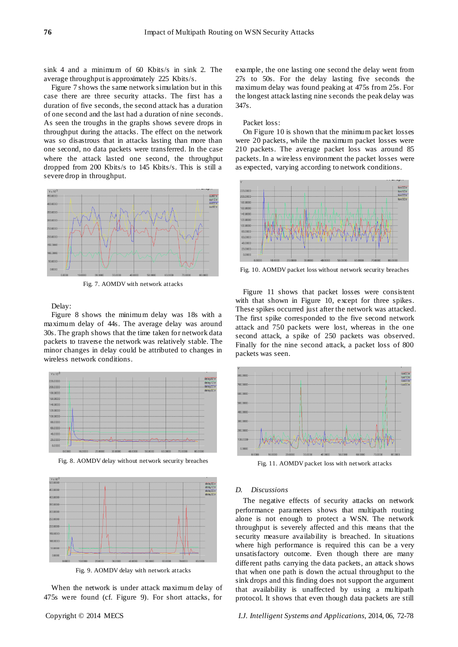sink 4 and a minimum of 60 Kbits/s in sink 2. The average throughput is approximately 225 Kbits/s.

Figure 7 shows the same network simulation but in this case there are three security attacks. The first has a duration of five seconds, the second attack has a duration of one second and the last had a duration of nine seconds. As seen the troughs in the graphs shows severe drops in throughput during the attacks. The effect on the network was so disastrous that in attacks lasting than more than one second, no data packets were transferred. In the case where the attack lasted one second, the throughput dropped from 200 Kbits/s to 145 Kbits/s. This is still a severe drop in throughput.



Fig. 7. AOMDV with network attacks

Delay:

Figure 8 shows the minimum delay was 18s with a maximum delay of 44s. The average delay was around 30s. The graph shows that the time taken for network data packets to traverse the network was relatively stable. The minor changes in delay could be attributed to changes in wireless network conditions.



Fig. 8. AOMDV delay without network security breaches



Fig. 9. AOMDV delay with network attacks

When the network is under attack maximum delay of 475s were found (cf. Figure 9). For short attacks, for

example, the one lasting one second the delay went from 27s to 50s. For the delay lasting five seconds the maximum delay was found peaking at 475s from 25s. For the longest attack lasting nine seconds the peak delay was 347s.

#### Packet loss:

On Figure 10 is shown that the minimum packet losses were 20 packets, while the maximum packet losses were 210 packets. The average packet loss was around 85 packets. In a wireless environment the packet losses were as expected, varying according to network conditions.



Fig. 10. AOMDV packet loss without network security breaches

Figure 11 shows that packet losses were consistent with that shown in Figure 10, except for three spikes. These spikes occurred just after the network was attacked. The first spike corresponded to the five second network attack and 750 packets were lost, whereas in the one second attack, a spike of 250 packets was observed. Finally for the nine second attack, a packet loss of 800 packets was seen.



Fig. 11. AOMDV packet loss with network attacks

#### *D. Discussions*

The negative effects of security attacks on network performance parameters shows that multipath routing alone is not enough to protect a WSN. The network throughput is severely affected and this means that the security measure availability is breached. In situations where high performance is required this can be a very unsatisfactory outcome. Even though there are many different paths carrying the data packets, an attack shows that when one path is down the actual throughput to the sink drops and this finding does not support the argument that availability is unaffected by using a multipath protocol. It shows that even though data packets are still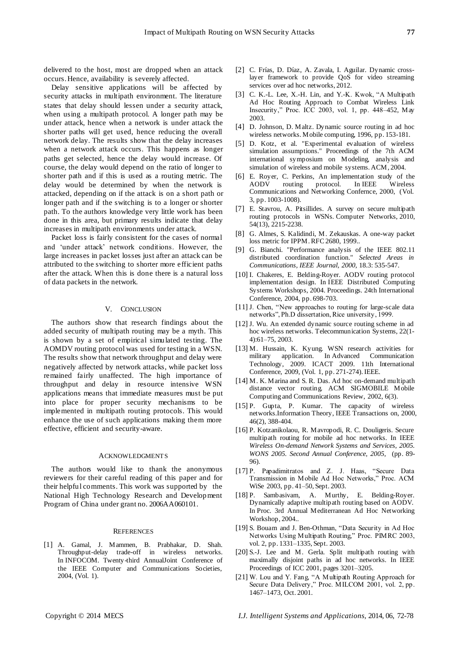delivered to the host, most are dropped when an attack occurs. Hence, availability is severely affected.

Delay sensitive applications will be affected by security attacks in multipath environment. The literature states that delay should lessen under a security attack, when using a multipath protocol. A longer path may be under attack, hence when a network is under attack the shorter paths will get used, hence reducing the overall network delay. The results show that the delay increases when a network attack occurs. This happens as longer paths get selected, hence the delay would increase. Of course, the delay would depend on the ratio of longer to shorter path and if this is used as a routing metric. The delay would be determined by when the network is attacked, depending on if the attack is on a short path or longer path and if the switching is to a longer or shorter path. To the authors knowledge very little work has been done in this area, but primary results indicate that delay increases in multipath environments under attack.

Packet loss is fairly consistent for the cases of normal and 'under attack' network conditions. However, the large increases in packet losses just after an attack can be attributed to the switching to shorter more efficient paths after the attack. When this is done there is a natural loss of data packets in the network.

## V. CONCLUSION

The authors show that research findings about the added security of multipath routing may be a myth. This is shown by a set of empirical simulated testing. The AOMDV routing protocol was used for testing in a WSN. The results show that network throughput and delay were negatively affected by network attacks, while packet loss remained fairly unaffected. The high importance of throughput and delay in resource intensive WSN applications means that immediate measures must be put into place for proper security mechanisms to be implemented in multipath routing protocols. This would enhance the use of such applications making them more effective, efficient and security-aware.

#### ACKNOWLEDGMENTS

The authors would like to thank the anonymous reviewers for their careful reading of this paper and for their helpful comments. This work was supported by the National High Technology Research and Development Program of China under grant no. 2006AA060101.

#### **REFERENCES**

<span id="page-5-18"></span>[1] A. Gamal, J. Mammen, B. Prabhakar, D. Shah. Throughput-delay trade-off in wireless networks. In INFOCOM. Twenty-third AnnualJoint Conference of the IEEE Computer and Communications Societies, 2004, (Vol. 1).

- <span id="page-5-5"></span>[2] C. Fr ás, D. D áz, A. Zavala, I. Aguilar. Dynamic crosslayer framework to provide QoS for video streaming services over ad hoc networks, 2012.
- <span id="page-5-12"></span>[3] C. K.-L. Lee, X.-H. Lin, and Y.-K. Kwok, "A Multipath Ad Hoc Routing Approach to Combat Wireless Link Insecurity,‖ Proc. ICC 2003, vol. 1, pp. 448–452, May 2003.
- <span id="page-5-2"></span>[4] D. Johnson, D. Maltz. Dynamic source routing in ad hoc wireless networks. Mobile computing, 1996, pp. 153-181.
- <span id="page-5-16"></span>[5] D. Kotz, et al. "Experimental evaluation of wireless simulation assumptions." Proceedings of the 7th ACM international symposium on Modeling, analysis and simulation of wireless and mobile systems. ACM, 2004.
- <span id="page-5-4"></span>[6] E. Royer, C. Perkins, An implementation study of the protocol. Communications and Networking Confernce, 2000, (Vol. 3, pp. 1003-1008).
- <span id="page-5-10"></span>[7] E. Stavrou, A. Pitsillides. A survey on secure multipath routing protocols in WSNs. Computer Networks, 2010, 54(13), 2215-2238.
- <span id="page-5-19"></span>[8] G. Almes, S. Kalidindi, M. Zekauskas. A one-way packet loss metric for IPPM. RFC 2680, 1999..
- <span id="page-5-17"></span>[9] G. Bianchi. "Performance analysis of the IEEE 802.11 distributed coordination function." *Selected Areas in Communications, IEEE Journal, 2000,* 18.3: 535-547.
- <span id="page-5-3"></span>[10] I. Chakeres, E. Belding-Royer. AODV routing protocol implementation design. In IEEE Distributed Computing Systems Workshops, 2004. Proceedings. 24th International Conference, 2004, pp. 698-703.
- <span id="page-5-1"></span>[11] J. Chen, "New approaches to routing for large-scale data networks", Ph.D dissertation, Rice university, 1999.
- <span id="page-5-8"></span>[12] J. Wu. An extended dynamic source routing scheme in ad hoc wireless networks. Telecommunication Systems, 22(1- 4):61–75, 2003.
- <span id="page-5-0"></span>[13] M. Hussain, K. Kyung. WSN research activities for military application. In Advanced Communication Technology, 2009. ICACT 2009. 11th International Conference, 2009, (Vol. 1, pp. 271-274). IEEE.
- <span id="page-5-9"></span>[14] M. K. Marina and S. R. Das. Ad hoc on-demand multipath distance vector routing. ACM SIGMOBILE Mobile Computing and Communications Review, 2002, 6(3).
- [15] P. Gupta, P. Kumar. The capacity of wireless networks.Information Theory, IEEE Transactions on, 2000, 46(2), 388-404.
- <span id="page-5-15"></span>[16] P. Kotzanikolaou, R. Mavropodi, R. C. Douligeris. Secure multipath routing for mobile ad hoc networks. In IEEE *Wireless On-demand Network Systems and Services, 2005. WONS 2005. Second Annual Conference, 2005,* (pp. 89- 96).
- <span id="page-5-14"></span>[17] P. Papadimitratos and Z. J. Haas, "Secure Data Transmission in Mobile Ad Hoc Networks," Proc. ACM WiSe 2003, pp. 41–50, Sept. 2003.
- <span id="page-5-6"></span>[18] P. Sambasivam, A. Murthy, E. Belding-Royer. Dynamically adaptive multipath routing based on AODV. In Proc. 3rd Annual Mediterranean Ad Hoc Networking Workshop, 2004..
- <span id="page-5-11"></span>[19] S. Bouam and J. Ben-Othman, "Data Security in Ad Hoc Networks Using Multipath Routing," Proc. PIMRC 2003, vol. 2, pp. 1331–1335, Sept. 2003.
- <span id="page-5-7"></span>[20] S.-J. Lee and M. Gerla. Split multipath routing with maximally disjoint paths in ad hoc networks. In IEEE Proceedings of ICC 2001, pages 3201–3205.
- <span id="page-5-13"></span>[21] W. Lou and Y. Fang, "A Multipath Routing Approach for Secure Data Delivery," Proc. MILCOM 2001, vol. 2, pp. 1467–1473, Oct. 2001.